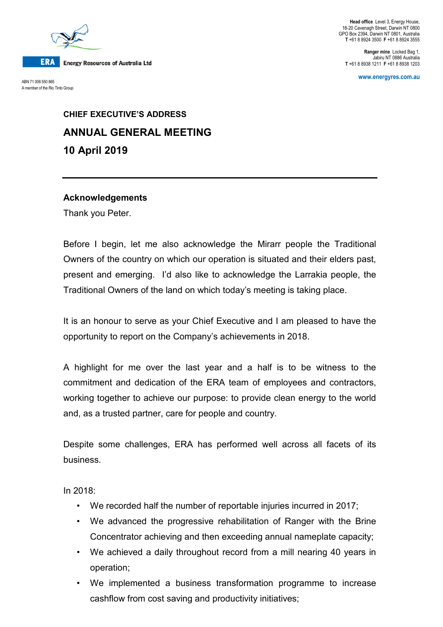

A member of the Rio Tinto Group

**Head office** Level 3, Energy House, 18-20 Cavenagh Street, Darwin NT 0800 GPO Box 2394, Darwin NT 0801, Australia **T** +61 8 8924 3500 **F** +61 8 8924 3555

**Ranger mine** Locked Bag 1, Jabiru NT 0886 Australia **T** +61 8 8938 1211 **F** +61 8 8938 1203

**www.energyres.com.au** ABN 71 008 550 865

# **CHIEF EXECUTIVE'S ADDRESS ANNUAL GENERAL MEETING 10 April 2019**

#### **Acknowledgements**

Thank you Peter.

Before I begin, let me also acknowledge the Mirarr people the Traditional Owners of the country on which our operation is situated and their elders past, present and emerging. I'd also like to acknowledge the Larrakia people, the Traditional Owners of the land on which today's meeting is taking place.

It is an honour to serve as your Chief Executive and I am pleased to have the opportunity to report on the Company's achievements in 2018.

A highlight for me over the last year and a half is to be witness to the commitment and dedication of the ERA team of employees and contractors, working together to achieve our purpose: to provide clean energy to the world and, as a trusted partner, care for people and country.

Despite some challenges, ERA has performed well across all facets of its business.

In 2018:

- We recorded half the number of reportable injuries incurred in 2017;
- We advanced the progressive rehabilitation of Ranger with the Brine Concentrator achieving and then exceeding annual nameplate capacity;
- We achieved a daily throughout record from a mill nearing 40 years in operation;
- We implemented a business transformation programme to increase cashflow from cost saving and productivity initiatives;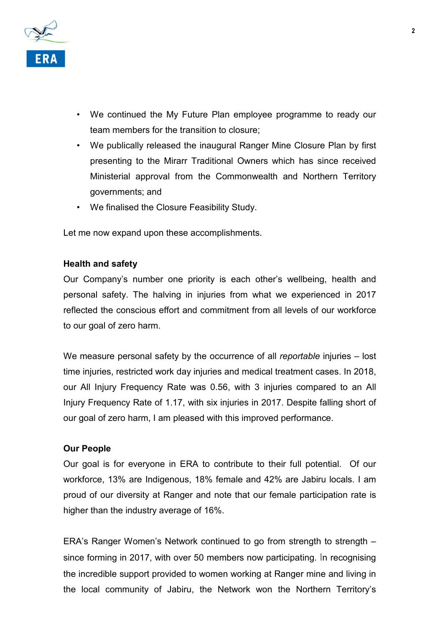

- We continued the My Future Plan employee programme to ready our team members for the transition to closure;
- We publically released the inaugural Ranger Mine Closure Plan by first presenting to the Mirarr Traditional Owners which has since received Ministerial approval from the Commonwealth and Northern Territory governments; and
- We finalised the Closure Feasibility Study.

Let me now expand upon these accomplishments.

#### **Health and safety**

Our Company's number one priority is each other's wellbeing, health and personal safety. The halving in injuries from what we experienced in 2017 reflected the conscious effort and commitment from all levels of our workforce to our goal of zero harm.

We measure personal safety by the occurrence of all *reportable* injuries – lost time injuries, restricted work day injuries and medical treatment cases. In 2018, our All Injury Frequency Rate was 0.56, with 3 injuries compared to an All Injury Frequency Rate of 1.17, with six injuries in 2017. Despite falling short of our goal of zero harm, I am pleased with this improved performance.

#### **Our People**

Our goal is for everyone in ERA to contribute to their full potential. Of our workforce, 13% are Indigenous, 18% female and 42% are Jabiru locals. I am proud of our diversity at Ranger and note that our female participation rate is higher than the industry average of 16%.

ERA's Ranger Women's Network continued to go from strength to strength – since forming in 2017, with over 50 members now participating. In recognising the incredible support provided to women working at Ranger mine and living in the local community of Jabiru, the Network won the Northern Territory's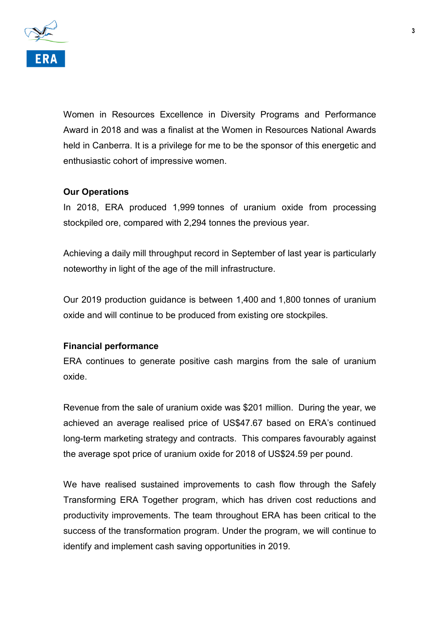

Women in Resources Excellence in Diversity Programs and Performance Award in 2018 and was a finalist at the Women in Resources National Awards held in Canberra. It is a privilege for me to be the sponsor of this energetic and enthusiastic cohort of impressive women.

# **Our Operations**

In 2018, ERA produced 1,999 tonnes of uranium oxide from processing stockpiled ore, compared with 2,294 tonnes the previous year.

Achieving a daily mill throughput record in September of last year is particularly noteworthy in light of the age of the mill infrastructure.

Our 2019 production guidance is between 1,400 and 1,800 tonnes of uranium oxide and will continue to be produced from existing ore stockpiles.

## **Financial performance**

ERA continues to generate positive cash margins from the sale of uranium oxide.

Revenue from the sale of uranium oxide was \$201 million. During the year, we achieved an average realised price of US\$47.67 based on ERA's continued long-term marketing strategy and contracts. This compares favourably against the average spot price of uranium oxide for 2018 of US\$24.59 per pound.

We have realised sustained improvements to cash flow through the Safely Transforming ERA Together program, which has driven cost reductions and productivity improvements. The team throughout ERA has been critical to the success of the transformation program. Under the program, we will continue to identify and implement cash saving opportunities in 2019.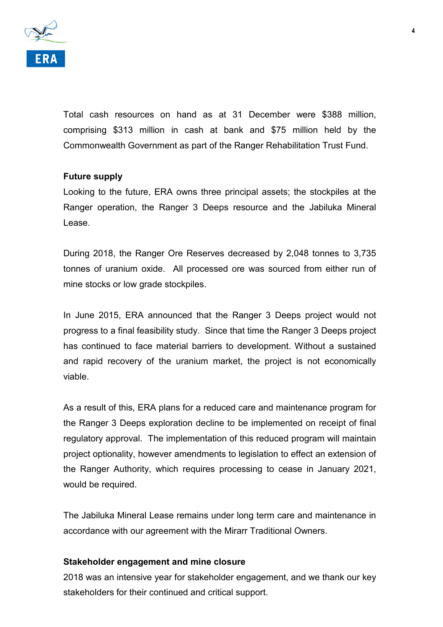

Total cash resources on hand as at 31 December were \$388 million, comprising \$313 million in cash at bank and \$75 million held by the Commonwealth Government as part of the Ranger Rehabilitation Trust Fund.

#### **Future supply**

Looking to the future, ERA owns three principal assets; the stockpiles at the Ranger operation, the Ranger 3 Deeps resource and the Jabiluka Mineral Lease.

During 2018, the Ranger Ore Reserves decreased by 2,048 tonnes to 3,735 tonnes of uranium oxide. All processed ore was sourced from either run of mine stocks or low grade stockpiles.

In June 2015, ERA announced that the Ranger 3 Deeps project would not progress to a final feasibility study. Since that time the Ranger 3 Deeps project has continued to face material barriers to development. Without a sustained and rapid recovery of the uranium market, the project is not economically viable.

As a result of this, ERA plans for a reduced care and maintenance program for the Ranger 3 Deeps exploration decline to be implemented on receipt of final regulatory approval. The implementation of this reduced program will maintain project optionality, however amendments to legislation to effect an extension of the Ranger Authority, which requires processing to cease in January 2021, would be required.

The Jabiluka Mineral Lease remains under long term care and maintenance in accordance with our agreement with the Mirarr Traditional Owners.

#### **Stakeholder engagement and mine closure**

2018 was an intensive year for stakeholder engagement, and we thank our key stakeholders for their continued and critical support.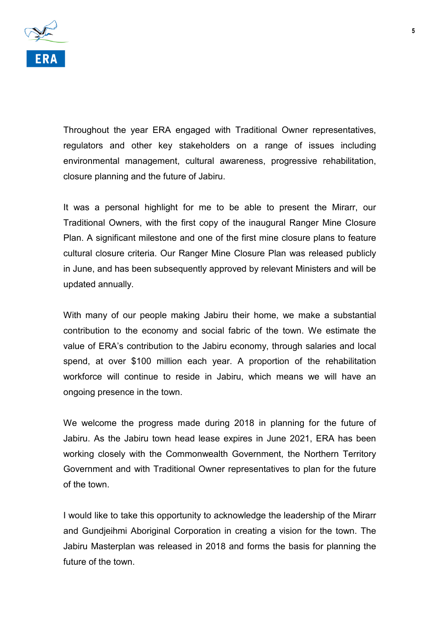

Throughout the year ERA engaged with Traditional Owner representatives, regulators and other key stakeholders on a range of issues including environmental management, cultural awareness, progressive rehabilitation, closure planning and the future of Jabiru.

It was a personal highlight for me to be able to present the Mirarr, our Traditional Owners, with the first copy of the inaugural Ranger Mine Closure Plan. A significant milestone and one of the first mine closure plans to feature cultural closure criteria. Our Ranger Mine Closure Plan was released publicly in June, and has been subsequently approved by relevant Ministers and will be updated annually.

With many of our people making Jabiru their home, we make a substantial contribution to the economy and social fabric of the town. We estimate the value of ERA's contribution to the Jabiru economy, through salaries and local spend, at over \$100 million each year. A proportion of the rehabilitation workforce will continue to reside in Jabiru, which means we will have an ongoing presence in the town.

We welcome the progress made during 2018 in planning for the future of Jabiru. As the Jabiru town head lease expires in June 2021, ERA has been working closely with the Commonwealth Government, the Northern Territory Government and with Traditional Owner representatives to plan for the future of the town.

I would like to take this opportunity to acknowledge the leadership of the Mirarr and Gundjeihmi Aboriginal Corporation in creating a vision for the town. The Jabiru Masterplan was released in 2018 and forms the basis for planning the future of the town.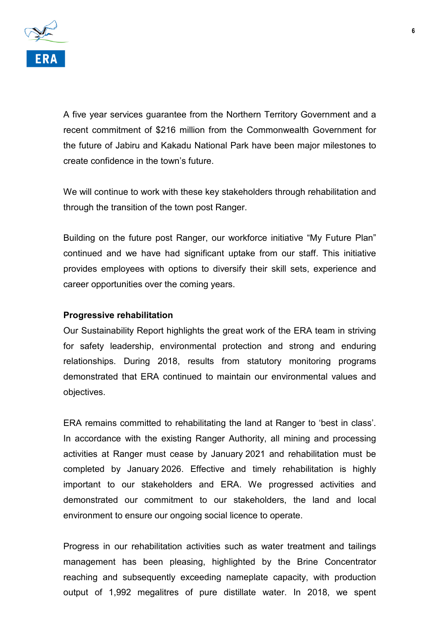

A five year services guarantee from the Northern Territory Government and a recent commitment of \$216 million from the Commonwealth Government for the future of Jabiru and Kakadu National Park have been major milestones to create confidence in the town's future.

We will continue to work with these key stakeholders through rehabilitation and through the transition of the town post Ranger.

Building on the future post Ranger, our workforce initiative "My Future Plan" continued and we have had significant uptake from our staff. This initiative provides employees with options to diversify their skill sets, experience and career opportunities over the coming years.

#### **Progressive rehabilitation**

Our Sustainability Report highlights the great work of the ERA team in striving for safety leadership, environmental protection and strong and enduring relationships. During 2018, results from statutory monitoring programs demonstrated that ERA continued to maintain our environmental values and objectives.

ERA remains committed to rehabilitating the land at Ranger to 'best in class'. In accordance with the existing Ranger Authority, all mining and processing activities at Ranger must cease by January 2021 and rehabilitation must be completed by January 2026. Effective and timely rehabilitation is highly important to our stakeholders and ERA. We progressed activities and demonstrated our commitment to our stakeholders, the land and local environment to ensure our ongoing social licence to operate.

Progress in our rehabilitation activities such as water treatment and tailings management has been pleasing, highlighted by the Brine Concentrator reaching and subsequently exceeding nameplate capacity, with production output of 1,992 megalitres of pure distillate water. In 2018, we spent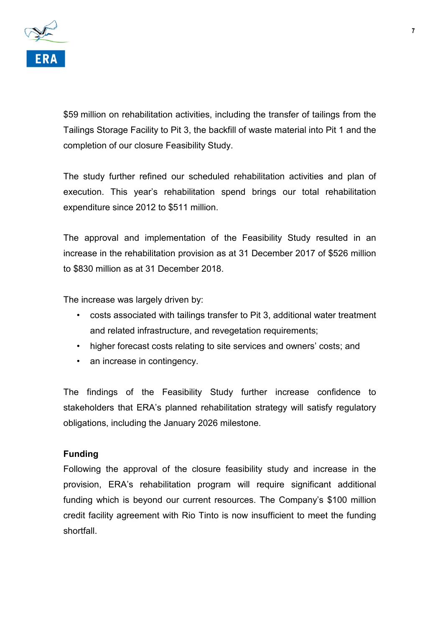

\$59 million on rehabilitation activities, including the transfer of tailings from the Tailings Storage Facility to Pit 3, the backfill of waste material into Pit 1 and the completion of our closure Feasibility Study.

The study further refined our scheduled rehabilitation activities and plan of execution. This year's rehabilitation spend brings our total rehabilitation expenditure since 2012 to \$511 million.

The approval and implementation of the Feasibility Study resulted in an increase in the rehabilitation provision as at 31 December 2017 of \$526 million to \$830 million as at 31 December 2018.

The increase was largely driven by:

- costs associated with tailings transfer to Pit 3, additional water treatment and related infrastructure, and revegetation requirements;
- higher forecast costs relating to site services and owners' costs; and
- an increase in contingency.

The findings of the Feasibility Study further increase confidence to stakeholders that ERA's planned rehabilitation strategy will satisfy regulatory obligations, including the January 2026 milestone.

#### **Funding**

Following the approval of the closure feasibility study and increase in the provision, ERA's rehabilitation program will require significant additional funding which is beyond our current resources. The Company's \$100 million credit facility agreement with Rio Tinto is now insufficient to meet the funding shortfall.